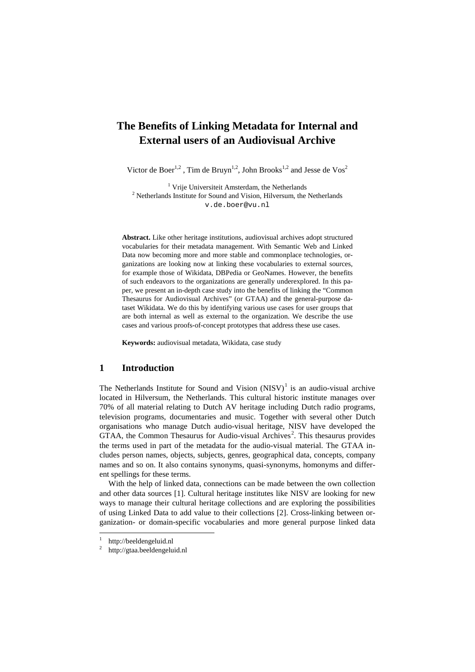# **The Benefits of Linking Metadata for Internal and External users of an Audiovisual Archive**

Victor de Boer<sup>1,2</sup>, Tim de Bruyn<sup>1,2</sup>, John Brooks<sup>1,2</sup> and Jesse de Vos<sup>2</sup>

<sup>1</sup> Vrije Universiteit Amsterdam, the Netherlands <sup>2</sup> Netherlands Institute for Sound and Vision, Hilversum, the Netherlands v.de.boer@vu.nl

**Abstract.** Like other heritage institutions, audiovisual archives adopt structured vocabularies for their metadata management. With Semantic Web and Linked Data now becoming more and more stable and commonplace technologies, organizations are looking now at linking these vocabularies to external sources, for example those of Wikidata, DBPedia or GeoNames. However, the benefits of such endeavors to the organizations are generally underexplored. In this paper, we present an in-depth case study into the benefits of linking the "Common Thesaurus for Audiovisual Archives" (or GTAA) and the general-purpose dataset Wikidata. We do this by identifying various use cases for user groups that are both internal as well as external to the organization. We describe the use cases and various proofs-of-concept prototypes that address these use cases.

**Keywords:** audiovisual metadata, Wikidata, case study

# **1 Introduction**

The Netherlands Institute for Sound and Vision  $(NISV)^1$  $(NISV)^1$  is an audio-visual archive located in Hilversum, the Netherlands. This cultural historic institute manages over 70% of all material relating to Dutch AV heritage including Dutch radio programs, television programs, documentaries and music. Together with several other Dutch organisations who manage Dutch audio-visual heritage, NISV have developed the GTAA, the Common Thesaurus for Audio-visual Archives<sup>[2](#page-0-1)</sup>. This thesaurus provides the terms used in part of the metadata for the audio-visual material. The GTAA includes person names, objects, subjects, genres, geographical data, concepts, company names and so on. It also contains synonyms, quasi-synonyms, homonyms and different spellings for these terms.

With the help of linked data, connections can be made between the own collection and other data sources [1]. Cultural heritage institutes like NISV are looking for new ways to manage their cultural heritage collections and are exploring the possibilities of using Linked Data to add value to their collections [2]. Cross-linking between organization- or domain-specific vocabularies and more general purpose linked data

<span id="page-0-1"></span><span id="page-0-0"></span><sup>&</sup>lt;sup>1</sup> http://beeldengeluid.nl<br><sup>2</sup> http://ctso.beeldengelu

http://gtaa.beeldengeluid.nl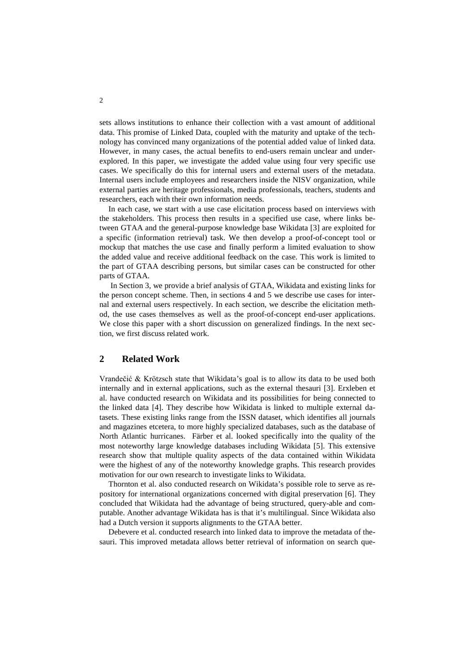sets allows institutions to enhance their collection with a vast amount of additional data. This promise of Linked Data, coupled with the maturity and uptake of the technology has convinced many organizations of the potential added value of linked data. However, in many cases, the actual benefits to end-users remain unclear and underexplored. In this paper, we investigate the added value using four very specific use cases. We specifically do this for internal users and external users of the metadata. Internal users include employees and researchers inside the NISV organization, while external parties are heritage professionals, media professionals, teachers, students and researchers, each with their own information needs.

In each case, we start with a use case elicitation process based on interviews with the stakeholders. This process then results in a specified use case, where links between GTAA and the general-purpose knowledge base Wikidata [3] are exploited for a specific (information retrieval) task. We then develop a proof-of-concept tool or mockup that matches the use case and finally perform a limited evaluation to show the added value and receive additional feedback on the case. This work is limited to the part of GTAA describing persons, but similar cases can be constructed for other parts of GTAA.

In Section 3, we provide a brief analysis of GTAA, Wikidata and existing links for the person concept scheme. Then, in sections 4 and 5 we describe use cases for internal and external users respectively. In each section, we describe the elicitation method, the use cases themselves as well as the proof-of-concept end-user applications. We close this paper with a short discussion on generalized findings. In the next section, we first discuss related work.

# **2 Related Work**

Vrandečić & Krötzsch state that Wikidata's goal is to allow its data to be used both internally and in external applications, such as the external thesauri [3]. Erxleben et al. have conducted research on Wikidata and its possibilities for being connected to the linked data [4]. They describe how Wikidata is linked to multiple external datasets. These existing links range from the ISSN dataset, which identifies all journals and magazines etcetera, to more highly specialized databases, such as the database of North Atlantic hurricanes. Färber et al. looked specifically into the quality of the most noteworthy large knowledge databases including Wikidata [5]. This extensive research show that multiple quality aspects of the data contained within Wikidata were the highest of any of the noteworthy knowledge graphs. This research provides motivation for our own research to investigate links to Wikidata.

Thornton et al. also conducted research on Wikidata's possible role to serve as repository for international organizations concerned with digital preservation [6]. They concluded that Wikidata had the advantage of being structured, query-able and computable. Another advantage Wikidata has is that it's multilingual. Since Wikidata also had a Dutch version it supports alignments to the GTAA better.

Debevere et al. conducted research into linked data to improve the metadata of thesauri. This improved metadata allows better retrieval of information on search que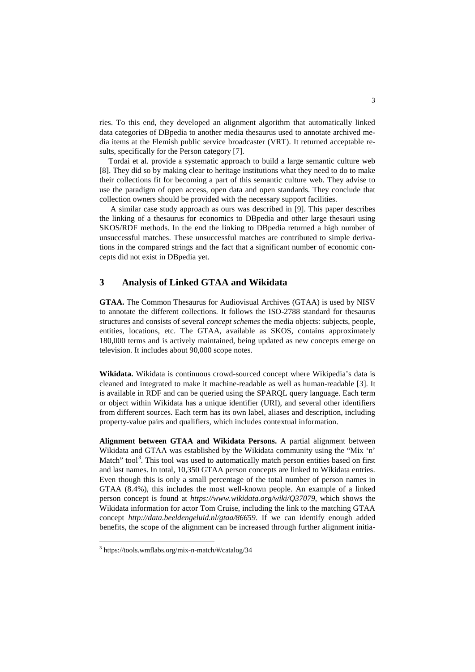ries. To this end, they developed an alignment algorithm that automatically linked data categories of DBpedia to another media thesaurus used to annotate archived media items at the Flemish public service broadcaster (VRT). It returned acceptable results, specifically for the Person category [7].

Tordai et al. provide a systematic approach to build a large semantic culture web [8]. They did so by making clear to heritage institutions what they need to do to make their collections fit for becoming a part of this semantic culture web. They advise to use the paradigm of open access, open data and open standards. They conclude that collection owners should be provided with the necessary support facilities.

A similar case study approach as ours was described in [9]. This paper describes the linking of a thesaurus for economics to DBpedia and other large thesauri using SKOS/RDF methods. In the end the linking to DBpedia returned a high number of unsuccessful matches. These unsuccessful matches are contributed to simple derivations in the compared strings and the fact that a significant number of economic concepts did not exist in DBpedia yet.

### **3 Analysis of Linked GTAA and Wikidata**

**GTAA.** The Common Thesaurus for Audiovisual Archives (GTAA) is used by NISV to annotate the different collections. It follows the ISO-2788 standard for thesaurus structures and consists of several *concept schemes* the media objects: subjects, people, entities, locations, etc. The GTAA, available as SKOS, contains approximately 180,000 terms and is actively maintained, being updated as new concepts emerge on television. It includes about 90,000 scope notes.

**Wikidata.** Wikidata is continuous crowd-sourced concept where Wikipedia's data is cleaned and integrated to make it machine-readable as well as human-readable [3]. It is available in RDF and can be queried using the SPARQL query language. Each term or object within Wikidata has a unique identifier (URI), and several other identifiers from different sources. Each term has its own label, aliases and description, including property-value pairs and qualifiers, which includes contextual information.

**Alignment between GTAA and Wikidata Persons.** A partial alignment between Wikidata and GTAA was established by the Wikidata community using the "Mix 'n' Match" tool<sup>[3](#page-2-0)</sup>. This tool was used to automatically match person entities based on first and last names. In total, 10,350 GTAA person concepts are linked to Wikidata entries. Even though this is only a small percentage of the total number of person names in GTAA (8.4%), this includes the most well-known people. An example of a linked person concept is found at *<https://www.wikidata.org/wiki/Q37079>*, which shows the Wikidata information for actor Tom Cruise, including the link to the matching GTAA concept *<http://data.beeldengeluid.nl/gtaa/86659>*. If we can identify enough added benefits, the scope of the alignment can be increased through further alignment initia-

<span id="page-2-0"></span> <sup>3</sup> https://tools.wmflabs.org/mix-n-match/#/catalog/34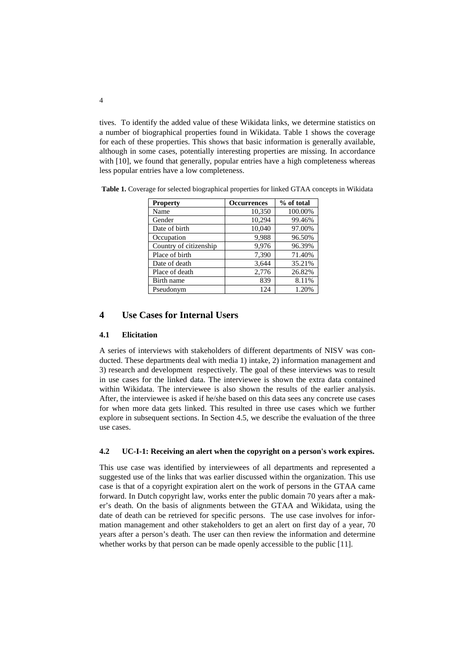tives. To identify the added value of these Wikidata links, we determine statistics on a number of biographical properties found in Wikidata. Table 1 shows the coverage for each of these properties. This shows that basic information is generally available, although in some cases, potentially interesting properties are missing. In accordance with [10], we found that generally, popular entries have a high completeness whereas less popular entries have a low completeness.

| <b>Property</b>        | <b>Occurrences</b> | % of total |
|------------------------|--------------------|------------|
| Name                   | 10,350             | 100.00%    |
| Gender                 | 10,294             | 99.46%     |
| Date of birth          | 10,040             | 97.00%     |
| Occupation             | 9,988              | 96.50%     |
| Country of citizenship | 9,976              | 96.39%     |
| Place of birth         | 7,390              | 71.40%     |
| Date of death          | 3,644              | 35.21%     |
| Place of death         | 2,776              | 26.82%     |
| Birth name             | 839                | 8.11%      |
| Pseudonym              | 124                | 1.20%      |

**Table 1.** Coverage for selected biographical properties for linked GTAA concepts in Wikidata

# **4 Use Cases for Internal Users**

#### **4.1 Elicitation**

A series of interviews with stakeholders of different departments of NISV was conducted. These departments deal with media 1) intake, 2) information management and 3) research and development respectively. The goal of these interviews was to result in use cases for the linked data. The interviewee is shown the extra data contained within Wikidata. The interviewee is also shown the results of the earlier analysis. After, the interviewee is asked if he/she based on this data sees any concrete use cases for when more data gets linked. This resulted in three use cases which we further explore in subsequent sections. In Section 4.5, we describe the evaluation of the three use cases.

### **4.2 UC-I-1: Receiving an alert when the copyright on a person's work expires.**

This use case was identified by interviewees of all departments and represented a suggested use of the links that was earlier discussed within the organization. This use case is that of a copyright expiration alert on the work of persons in the GTAA came forward. In Dutch copyright law, works enter the public domain 70 years after a maker's death. On the basis of alignments between the GTAA and Wikidata, using the date of death can be retrieved for specific persons. The use case involves for information management and other stakeholders to get an alert on first day of a year, 70 years after a person's death. The user can then review the information and determine whether works by that person can be made openly accessible to the public [11].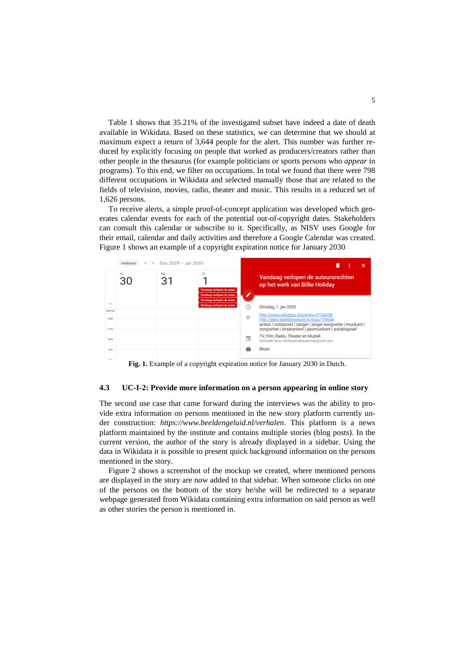Table 1 shows that 35.21% of the investigated subset have indeed a date of death available in Wikidata. Based on these statistics, we can determine that we should at maximum expect a return of 3,644 people for the alert. This number was further reduced by explicitly focusing on people that worked as producers/creators rather than other people in the thesaurus (for example politicians or sports persons who *appear* in programs). To this end, we filter on occupations. In total we found that there were 798 different occupations in Wikidata and selected manually those that are related to the fields of television, movies, radio, theater and music. This results in a reduced set of 1,626 persons.

To receive alerts, a simple proof-of-concept application was developed which generates calendar events for each of the potential out-of-copyright dates. Stakeholders can consult this calendar or subscribe to it. Specifically, as NISV uses Google for their email, calendar and daily activities and therefore a Google Calendar was created. Figure 1 shows an example of a copyright expiration notice for January 2030



**Fig. 1.** Example of a copyright expiration notice for January 2030 in Dutch.

### **4.3 UC-I-2: Provide more information on a person appearing in online story**

The second use case that came forward during the interviews was the ability to provide extra information on persons mentioned in the new story platform currently under construction: *[https://www.beeldengeluid.nl/verhalen](https://www.beeldengeluid.nl/verhalen.%20This)*. This platform is a news platform maintained by the institute and contains multiple stories (blog posts). In the current version, the author of the story is already displayed in a sidebar. Using the data in Wikidata it is possible to present quick background information on the persons mentioned in the story.

Figure 2 shows a screenshot of the mockup we created, where mentioned persons are displayed in the story are now added to that sidebar. When someone clicks on one of the persons on the bottom of the story he/she will be redirected to a separate webpage generated from Wikidata containing extra information on said person as well as other stories the person is mentioned in.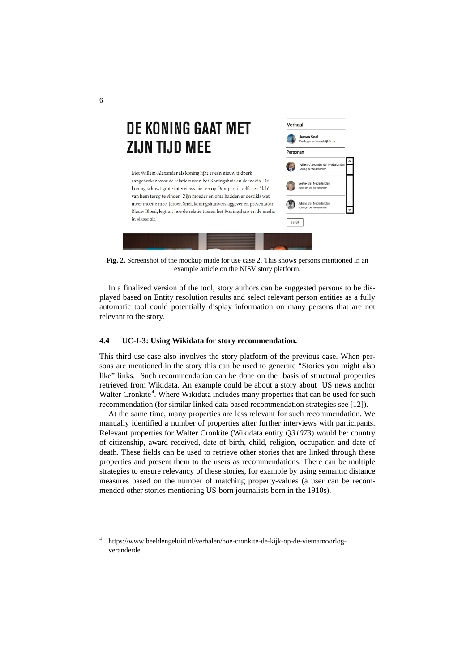

**Fig. 2.** Screenshot of the mockup made for use case 2. This shows persons mentioned in an example article on the NISV story platform.

In a finalized version of the tool, story authors can be suggested persons to be displayed based on Entity resolution results and select relevant person entities as a fully automatic tool could potentially display information on many persons that are not relevant to the story.

### **4.4 UC-I-3: Using Wikidata for story recommendation.**

This third use case also involves the story platform of the previous case. When persons are mentioned in the story this can be used to generate "Stories you might also like" links. Such recommendation can be done on the basis of structural properties retrieved from Wikidata. An example could be about a story about US news anchor Walter Cronkite<sup>[4](#page-5-0)</sup>. Where Wikidata includes many properties that can be used for such recommendation (for similar linked data based recommendation strategies see [12]).

At the same time, many properties are less relevant for such recommendation. We manually identified a number of properties after further interviews with participants. Relevant properties for Walter Cronkite (Wikidata entity *Q31073*) would be: country of citizenship, award received, date of birth, child, religion, occupation and date of death. These fields can be used to retrieve other stories that are linked through these properties and present them to the users as recommendations. There can be multiple strategies to ensure relevancy of these stories, for example by using semantic distance measures based on the number of matching property-values (a user can be recommended other stories mentioning US-born journalists born in the 1910s).

<span id="page-5-0"></span> <sup>4</sup> https://www.beeldengeluid.nl/verhalen/hoe-cronkite-de-kijk-op-de-vietnamoorlogveranderde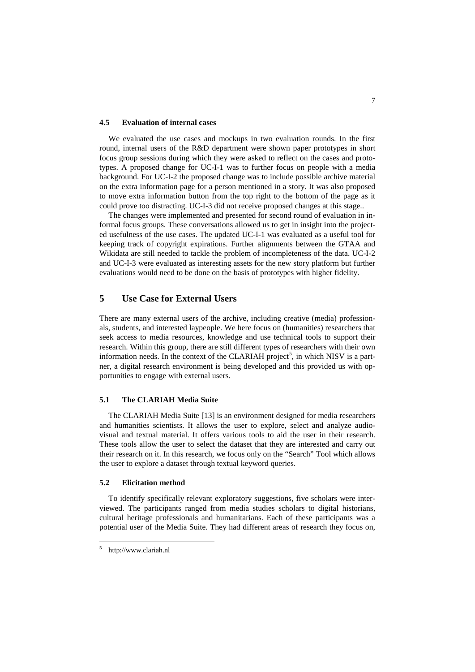#### **4.5 Evaluation of internal cases**

We evaluated the use cases and mockups in two evaluation rounds. In the first round, internal users of the R&D department were shown paper prototypes in short focus group sessions during which they were asked to reflect on the cases and prototypes. A proposed change for UC-I-1 was to further focus on people with a media background. For UC-I-2 the proposed change was to include possible archive material on the extra information page for a person mentioned in a story. It was also proposed to move extra information button from the top right to the bottom of the page as it could prove too distracting. UC-I-3 did not receive proposed changes at this stage..

The changes were implemented and presented for second round of evaluation in informal focus groups. These conversations allowed us to get in insight into the projected usefulness of the use cases. The updated UC-I-1 was evaluated as a useful tool for keeping track of copyright expirations. Further alignments between the GTAA and Wikidata are still needed to tackle the problem of incompleteness of the data. UC-I-2 and UC-I-3 were evaluated as interesting assets for the new story platform but further evaluations would need to be done on the basis of prototypes with higher fidelity.

# **5 Use Case for External Users**

There are many external users of the archive, including creative (media) professionals, students, and interested laypeople. We here focus on (humanities) researchers that seek access to media resources, knowledge and use technical tools to support their research. Within this group, there are still different types of researchers with their own information needs. In the context of the CLARIAH project<sup>[5](#page-6-0)</sup>, in which NISV is a partner, a digital research environment is being developed and this provided us with opportunities to engage with external users.

### **5.1 The CLARIAH Media Suite**

The CLARIAH Media Suite [13] is an environment designed for media researchers and humanities scientists. It allows the user to explore, select and analyze audiovisual and textual material. It offers various tools to aid the user in their research. These tools allow the user to select the dataset that they are interested and carry out their research on it. In this research, we focus only on the "Search" Tool which allows the user to explore a dataset through textual keyword queries.

#### **5.2 Elicitation method**

To identify specifically relevant exploratory suggestions, five scholars were interviewed. The participants ranged from media studies scholars to digital historians, cultural heritage professionals and humanitarians. Each of these participants was a potential user of the Media Suite. They had different areas of research they focus on,

<span id="page-6-0"></span> <sup>5</sup> http://www.clariah.nl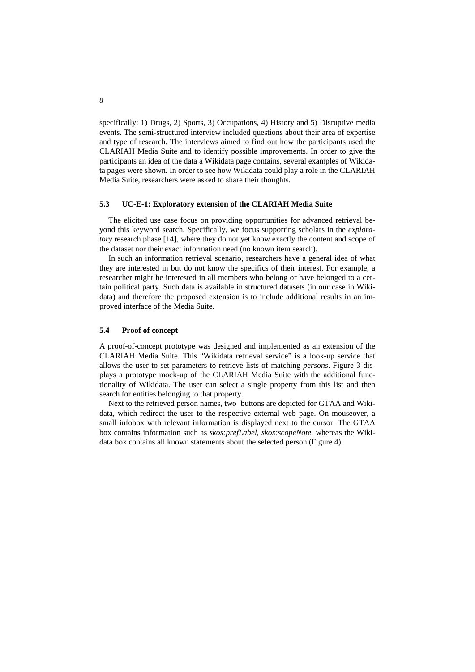specifically: 1) Drugs, 2) Sports, 3) Occupations, 4) History and 5) Disruptive media events. The semi-structured interview included questions about their area of expertise and type of research. The interviews aimed to find out how the participants used the CLARIAH Media Suite and to identify possible improvements. In order to give the participants an idea of the data a Wikidata page contains, several examples of Wikidata pages were shown. In order to see how Wikidata could play a role in the CLARIAH Media Suite, researchers were asked to share their thoughts.

### **5.3 UC-E-1: Exploratory extension of the CLARIAH Media Suite**

The elicited use case focus on providing opportunities for advanced retrieval beyond this keyword search. Specifically, we focus supporting scholars in the *exploratory* research phase [14], where they do not yet know exactly the content and scope of the dataset nor their exact information need (no known item search).

In such an information retrieval scenario, researchers have a general idea of what they are interested in but do not know the specifics of their interest. For example, a researcher might be interested in all members who belong or have belonged to a certain political party. Such data is available in structured datasets (in our case in Wikidata) and therefore the proposed extension is to include additional results in an improved interface of the Media Suite.

### **5.4 Proof of concept**

A proof-of-concept prototype was designed and implemented as an extension of the CLARIAH Media Suite. This "Wikidata retrieval service" is a look-up service that allows the user to set parameters to retrieve lists of matching *persons*. Figure 3 displays a prototype mock-up of the CLARIAH Media Suite with the additional functionality of Wikidata. The user can select a single property from this list and then search for entities belonging to that property.

Next to the retrieved person names, two buttons are depicted for GTAA and Wikidata, which redirect the user to the respective external web page. On mouseover, a small infobox with relevant information is displayed next to the cursor. The GTAA box contains information such as *skos:prefLabel, skos:scopeNote*, whereas the Wikidata box contains all known statements about the selected person (Figure 4).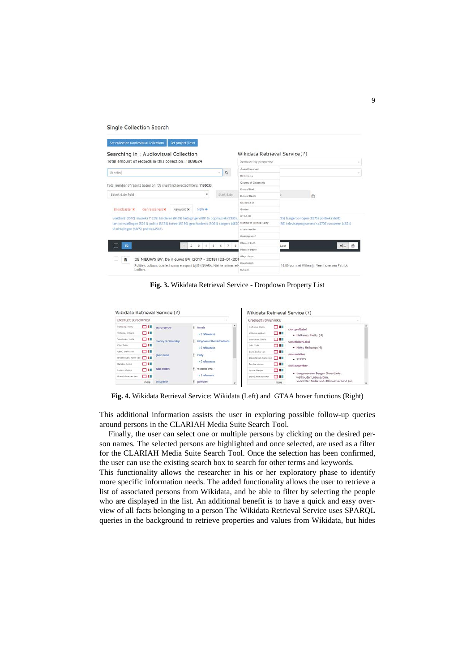#### Single Collection Search

| Searching in: Audiovisual Collection<br>Total amount of records in this collection: 1889624                                       |                  |           |       |               |               | Retrieve by property:                        |      |                                                  |
|-----------------------------------------------------------------------------------------------------------------------------------|------------------|-----------|-------|---------------|---------------|----------------------------------------------|------|--------------------------------------------------|
|                                                                                                                                   |                  |           |       |               |               | Award Received                               |      |                                                  |
| de vries<br>$\alpha$<br>$\sim$                                                                                                    |                  |           |       |               | Birth Name    |                                              |      |                                                  |
|                                                                                                                                   |                  |           |       |               |               | Country of Citizenship                       |      |                                                  |
| Total number of results based on "de wies"and selected filters: 1130033                                                           |                  |           |       | Date of Birth |               |                                              |      |                                                  |
| Select date field<br>٠                                                                                                            |                  |           |       | Start date    | Date of Death |                                              | m    |                                                  |
|                                                                                                                                   |                  |           |       |               |               | Educated at:                                 |      |                                                  |
| Broadcaster x                                                                                                                     | Genre (series) x | Keyword x | NEW + |               |               | Garden                                       |      |                                                  |
| voetbal (12010) muziek (11239) kinderen (9469) betogingen (8916) popmuziek (8333)                                                 |                  |           |       |               |               | GTAA tO                                      |      | [35] burgeroorlogen (6375) politiek (5634)       |
| tentoonstellingen (5291) politie (5139) toneel (5139) geschiedenis (5061) zangers (4870                                           |                  |           |       |               |               | Mambar of Political Party                    |      | 786) televisieprogramma's (4702) vrouwen (4621). |
| vluchtelingen (4605) poëzie (4541)                                                                                                |                  |           |       | Nominated for |               |                                              |      |                                                  |
|                                                                                                                                   |                  |           |       |               |               | Participant of                               |      |                                                  |
| m                                                                                                                                 |                  |           |       |               |               | Place of Birth                               | Last | $Q_0^2 -$                                        |
|                                                                                                                                   |                  |           |       |               |               | Place of Death                               |      |                                                  |
| a.                                                                                                                                |                  |           |       |               |               | Plays Sport                                  |      |                                                  |
| DE NIEUWS BV; De nieuws BV (2017 - 2018) (23-01-201<br>Politiek, cultuur, opinie, humor en sport bij BNNVARA. Niet te missen eli. |                  |           |       | Pseudonym     |               | 14.00 uur met Willemijn Veenhoven en Patrick |      |                                                  |
| Lodiers.                                                                                                                          |                  |           |       |               |               |                                              |      |                                                  |

**Fig. 3.** Wikidata Retrieval Service - Dropdown Property List

|                        |                | Wikidata Retrieval Service (?)                                      |                            |                | Wikidata Retrieval Service (?)      |                                                            |              |
|------------------------|----------------|---------------------------------------------------------------------|----------------------------|----------------|-------------------------------------|------------------------------------------------------------|--------------|
| GreenLeft (Groenlinks) |                |                                                                     |                            |                | GreenLeft (Groenlinks)              |                                                            |              |
| Hafkamp, Hetty         | $\Box$ iiiii   | sex or gender                                                       | female                     | $\overline{a}$ | $\Box$ iiiii<br>Hallcamp, Hatty     | skos:prefLabel                                             |              |
| willams, wilbert       | $\Box$ iiiii   | country of citizenship<br>given name<br>date of birth<br>occupation | - 0 references             |                | $\Box$ iii<br>willams, william      | · Hafkamp, Hetty (nl)                                      |              |
| Voortman, Linda        | $\Box$ HH      |                                                                     | Kingdom of the Netherlands |                | --<br>Vestman, Linda                | skoschiddenLabel                                           |              |
| Dibi, Tafik            | <b>100 100</b> |                                                                     | $+$ 0 references           |                | --<br>Dibi, Tafik.                  | · Hetty Hafkamp (nl)                                       |              |
| Gent, Inske van        | $\Box$ iiiii   |                                                                     |                            |                | $\Box$ iiii<br>Gant, Inske van      | skos:notation                                              |              |
| Broakhoven, Karal van  | <b>COMME</b>   |                                                                     | Hetty                      |                | $\Box$ iii<br>Broakhayen, Karel van | $-222325$                                                  |              |
| <b>Barrist Anton</b>   | $\Box$ iiiii   |                                                                     | - 0 references             |                | $\Box$ iiii<br>Barsha, Anton.       | skos:scopeNote                                             |              |
| Lucas, Marjan          | □ !!!          |                                                                     | 9 March 1953               |                | $\Box$ iii<br>Lucas, Marian         |                                                            |              |
| Brand, Arte van den    | $\Box$ iiiii   |                                                                     | + 1 reference              |                | $\Box$ HH<br>Brand, Arie van den    | · burgemeester Bergen GroenLinks,<br>wethouder Leeuwarden. |              |
|                        | more           |                                                                     | politician                 |                | more                                | voorzitter Nederlands Klimaatverbond (nl)                  | $\mathbf{v}$ |

**Fig. 4.** Wikidata Retrieval Service: Wikidata (Left) and GTAA hover functions (Right)

This additional information assists the user in exploring possible follow-up queries around persons in the CLARIAH Media Suite Search Tool.

Finally, the user can select one or multiple persons by clicking on the desired person names. The selected persons are highlighted and once selected, are used as a filter for the CLARIAH Media Suite Search Tool. Once the selection has been confirmed, the user can use the existing search box to search for other terms and keywords.

This functionality allows the researcher in his or her exploratory phase to identify more specific information needs. The added functionality allows the user to retrieve a list of associated persons from Wikidata, and be able to filter by selecting the people who are displayed in the list. An additional benefit is to have a quick and easy overview of all facts belonging to a person The Wikidata Retrieval Service uses SPARQL queries in the background to retrieve properties and values from Wikidata, but hides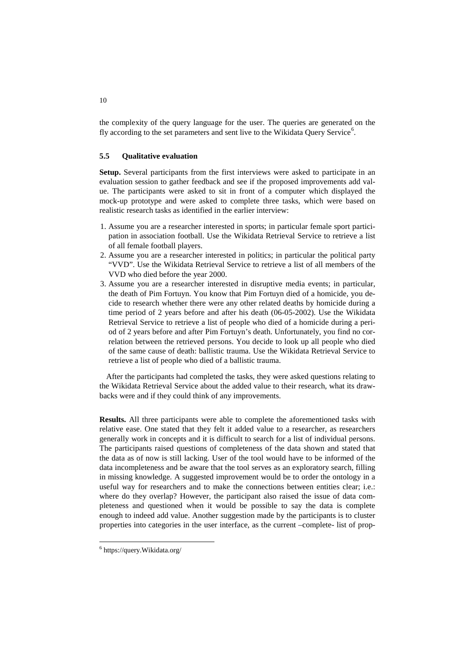the complexity of the query language for the user. The queries are generated on the fly according to the set parameters and sent live to the Wikidata Query Service<sup>[6](#page-9-0)</sup>.

### **5.5 Qualitative evaluation**

**Setup.** Several participants from the first interviews were asked to participate in an evaluation session to gather feedback and see if the proposed improvements add value. The participants were asked to sit in front of a computer which displayed the mock-up prototype and were asked to complete three tasks, which were based on realistic research tasks as identified in the earlier interview:

- 1. Assume you are a researcher interested in sports; in particular female sport participation in association football. Use the Wikidata Retrieval Service to retrieve a list of all female football players.
- 2. Assume you are a researcher interested in politics; in particular the political party "VVD". Use the Wikidata Retrieval Service to retrieve a list of all members of the VVD who died before the year 2000.
- 3. Assume you are a researcher interested in disruptive media events; in particular, the death of Pim Fortuyn. You know that Pim Fortuyn died of a homicide, you decide to research whether there were any other related deaths by homicide during a time period of 2 years before and after his death (06-05-2002). Use the Wikidata Retrieval Service to retrieve a list of people who died of a homicide during a period of 2 years before and after Pim Fortuyn's death. Unfortunately, you find no correlation between the retrieved persons. You decide to look up all people who died of the same cause of death: ballistic trauma. Use the Wikidata Retrieval Service to retrieve a list of people who died of a ballistic trauma.

After the participants had completed the tasks, they were asked questions relating to the Wikidata Retrieval Service about the added value to their research, what its drawbacks were and if they could think of any improvements.

**Results.** All three participants were able to complete the aforementioned tasks with relative ease. One stated that they felt it added value to a researcher, as researchers generally work in concepts and it is difficult to search for a list of individual persons. The participants raised questions of completeness of the data shown and stated that the data as of now is still lacking. User of the tool would have to be informed of the data incompleteness and be aware that the tool serves as an exploratory search, filling in missing knowledge. A suggested improvement would be to order the ontology in a useful way for researchers and to make the connections between entities clear; i.e.: where do they overlap? However, the participant also raised the issue of data completeness and questioned when it would be possible to say the data is complete enough to indeed add value. Another suggestion made by the participants is to cluster properties into categories in the user interface, as the current –complete- list of prop-

<span id="page-9-0"></span> <sup>6</sup> https://query.Wikidata.org/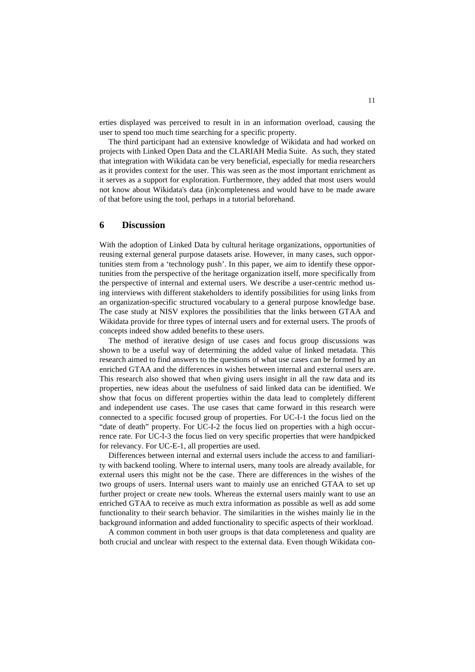erties displayed was perceived to result in in an information overload, causing the user to spend too much time searching for a specific property.

The third participant had an extensive knowledge of Wikidata and had worked on projects with Linked Open Data and the CLARIAH Media Suite. As such, they stated that integration with Wikidata can be very beneficial, especially for media researchers as it provides context for the user. This was seen as the most important enrichment as it serves as a support for exploration. Furthermore, they added that most users would not know about Wikidata's data (in)completeness and would have to be made aware of that before using the tool, perhaps in a tutorial beforehand.

### **6 Discussion**

With the adoption of Linked Data by cultural heritage organizations, opportunities of reusing external general purpose datasets arise. However, in many cases, such opportunities stem from a 'technology push'. In this paper, we aim to identify these opportunities from the perspective of the heritage organization itself, more specifically from the perspective of internal and external users. We describe a user-centric method using interviews with different stakeholders to identify possibilities for using links from an organization-specific structured vocabulary to a general purpose knowledge base. The case study at NISV explores the possibilities that the links between GTAA and Wikidata provide for three types of internal users and for external users. The proofs of concepts indeed show added benefits to these users.

The method of iterative design of use cases and focus group discussions was shown to be a useful way of determining the added value of linked metadata. This research aimed to find answers to the questions of what use cases can be formed by an enriched GTAA and the differences in wishes between internal and external users are. This research also showed that when giving users insight in all the raw data and its properties, new ideas about the usefulness of said linked data can be identified. We show that focus on different properties within the data lead to completely different and independent use cases. The use cases that came forward in this research were connected to a specific focused group of properties. For UC-I-1 the focus lied on the "date of death" property. For UC-I-2 the focus lied on properties with a high occurrence rate. For UC-I-3 the focus lied on very specific properties that were handpicked for relevancy. For UC-E-1, all properties are used.

Differences between internal and external users include the access to and familiarity with backend tooling. Where to internal users, many tools are already available, for external users this might not be the case. There are differences in the wishes of the two groups of users. Internal users want to mainly use an enriched GTAA to set up further project or create new tools. Whereas the external users mainly want to use an enriched GTAA to receive as much extra information as possible as well as add some functionality to their search behavior. The similarities in the wishes mainly lie in the background information and added functionality to specific aspects of their workload.

A common comment in both user groups is that data completeness and quality are both crucial and unclear with respect to the external data. Even though Wikidata con